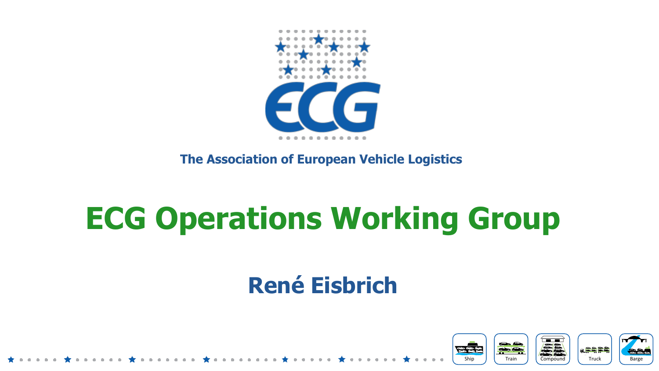

**The Association of European Vehicle Logistics** 

# **ECG Operations Working Group**

### **René Eisbrich**

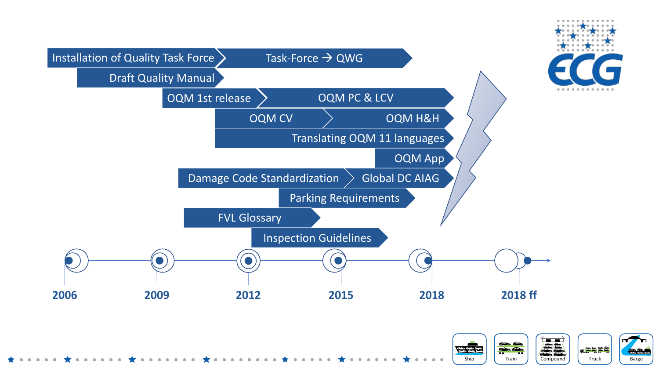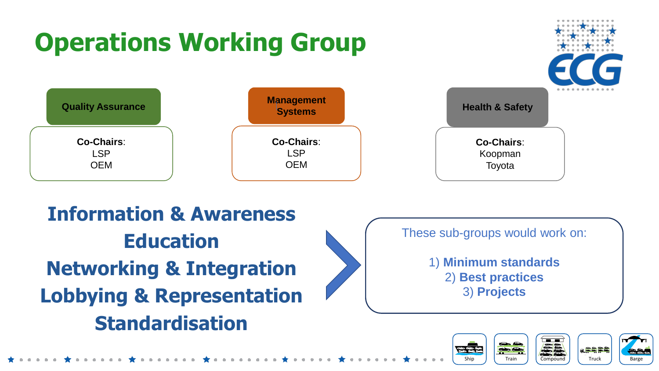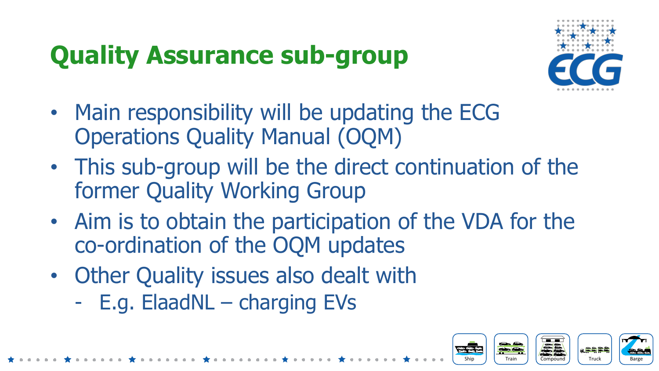# **Quality Assurance sub-group**



- Main responsibility will be updating the ECG Operations Quality Manual (OQM)
- This sub-group will be the direct continuation of the former Quality Working Group
- Aim is to obtain the participation of the VDA for the co-ordination of the OQM updates
- Other Quality issues also dealt with
	- E.g. ElaadNL charging EVs

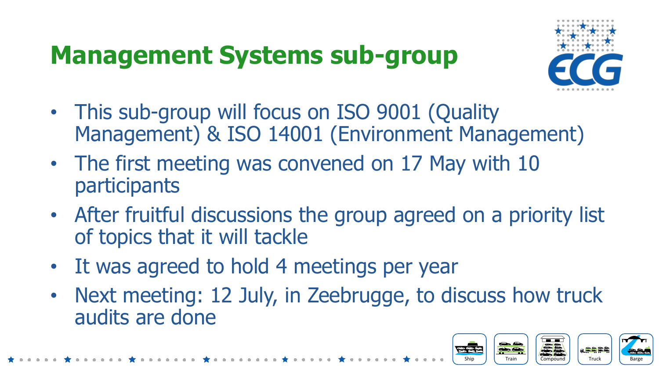# **Management Systems sub-group**



- This sub-group will focus on ISO 9001 (Quality Management) & ISO 14001 (Environment Management)
- The first meeting was convened on 17 May with 10 participants
- After fruitful discussions the group agreed on a priority list of topics that it will tackle
- It was agreed to hold 4 meetings per year
- Next meeting: 12 July, in Zeebrugge, to discuss how truck audits are done

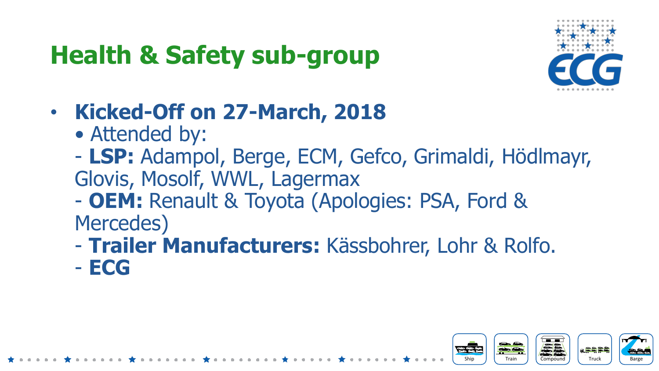# **Health & Safety sub-group**



- **Kicked-Off on 27-March, 2018**
	- Attended by:
	- **LSP:** Adampol, Berge, ECM, Gefco, Grimaldi, Hödlmayr, Glovis, Mosolf, WWL, Lagermax
	- **OEM:** Renault & Toyota (Apologies: PSA, Ford & Mercedes)
	- **Trailer Manufacturers:** Kässbohrer, Lohr & Rolfo. - **ECG**

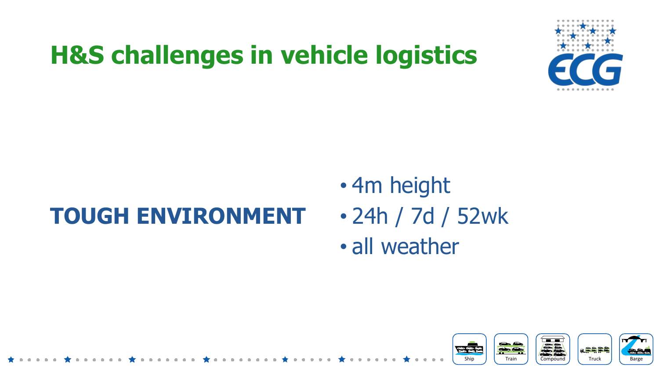

Ship **J | Train J | Compound J | Truck J | Barge** 

Compound

**The Corp.** 

Truck

a<del>sass</del>

### **TOUGH ENVIRONMENT**

- 4m height
- 24h / 7d / 52wk
- all weather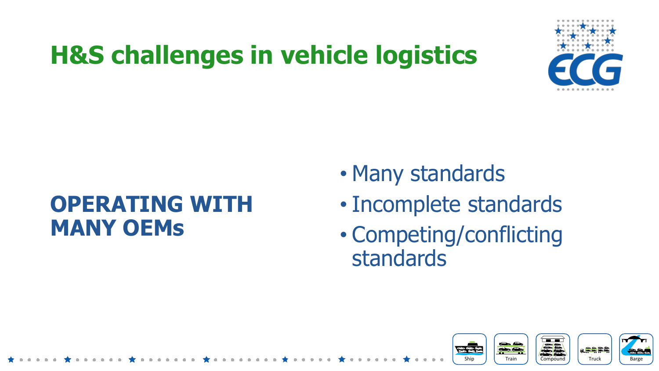

### **OPERATING WITH MANY OEMs**

- Many standards
- Incomplete standards
- Competing/conflicting standards

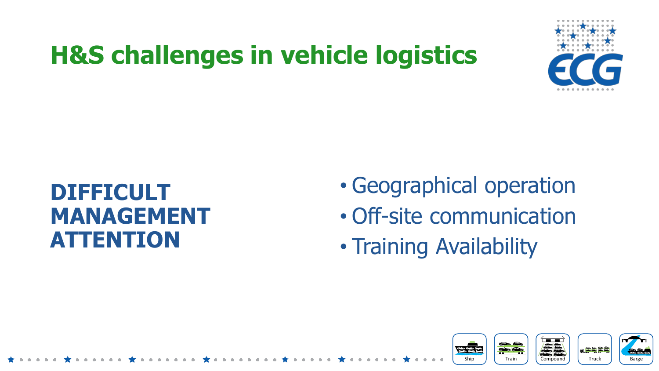

#### **DIFFICULT MANAGEMENT ATTENTION**

- Geographical operation
- Off-site communication
- Training Availability

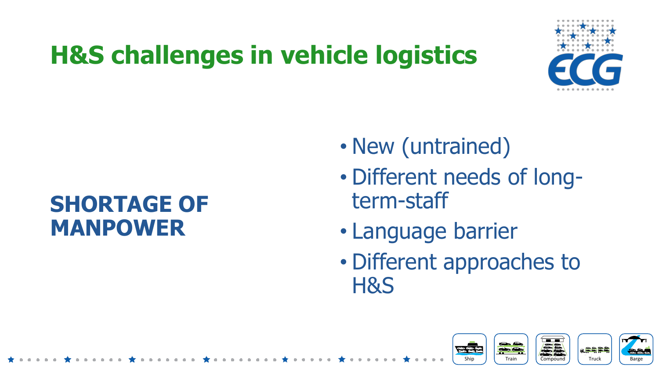

### **SHORTAGE OF MANPOWER**

- New (untrained)
- Different needs of longterm-staff
- Language barrier
- Different approaches to H&S

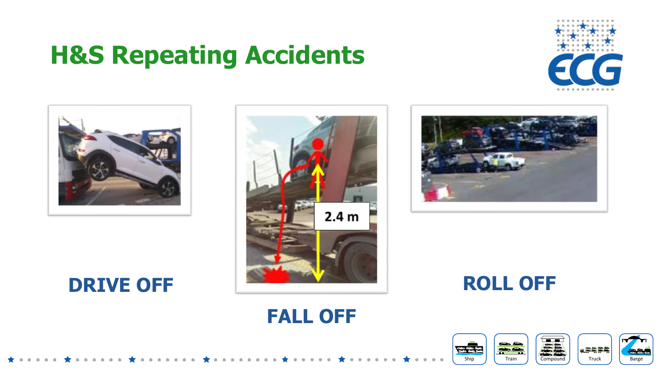### **H&S Repeating Accidents**





#### **DRIVE OFF**





**ROLL OFF**

Ship **J | Train J | Compound J | Truck J | Barge** 

Compound

Truck | Barge

#### **FALL OFF**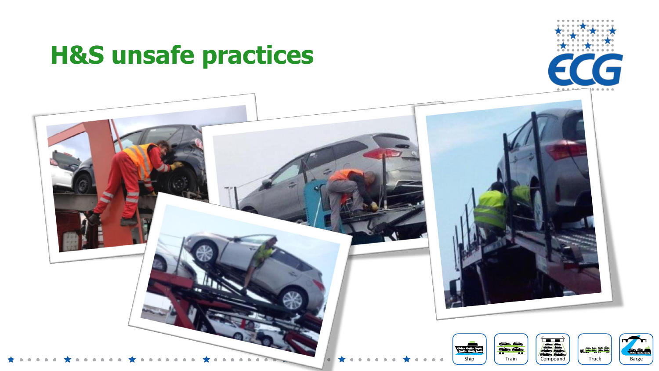### **H&S unsafe practices**



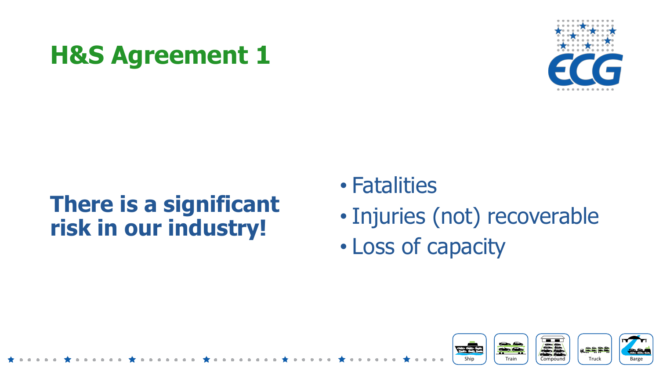

### **There is a significant risk in our industry!**

- Fatalities
- Injuries (not) recoverable
- Loss of capacity

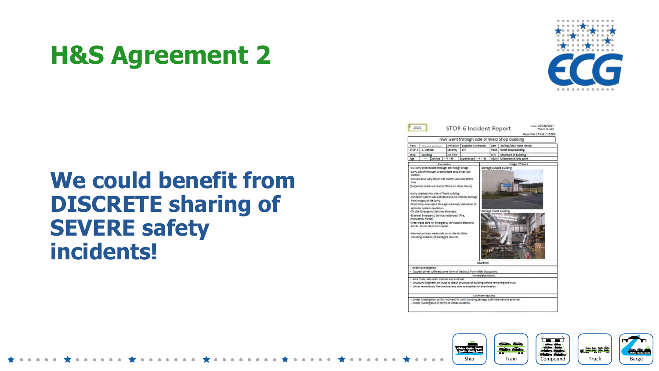

#### **We could benefit from DISCRETE sharing of SEVERE safety incidents!**

|                                                                                                 |                                                                                                                                                                                                                                                                                                                                                                                                                                                                                                                                                                                                                                                         |           |                    |                    |       | HGV went through side of Weld Shop Building |  |  |  |  |  |  |
|-------------------------------------------------------------------------------------------------|---------------------------------------------------------------------------------------------------------------------------------------------------------------------------------------------------------------------------------------------------------------------------------------------------------------------------------------------------------------------------------------------------------------------------------------------------------------------------------------------------------------------------------------------------------------------------------------------------------------------------------------------------------|-----------|--------------------|--------------------|-------|---------------------------------------------|--|--|--|--|--|--|
| Affiliation<br>Logistics Contractor<br>Date<br>20/5ep/2017 Wed 09:00<br>Plant<br>Choose an item |                                                                                                                                                                                                                                                                                                                                                                                                                                                                                                                                                                                                                                                         |           |                    |                    |       |                                             |  |  |  |  |  |  |
| C. Vehicle<br>STOP 6                                                                            |                                                                                                                                                                                                                                                                                                                                                                                                                                                                                                                                                                                                                                                         | Severity  | LTI                |                    | Place | Weld Shop building                          |  |  |  |  |  |  |
| <b>Shop</b>                                                                                     | Weiding                                                                                                                                                                                                                                                                                                                                                                                                                                                                                                                                                                                                                                                 | Job Title | -                  |                    | M/C   | <b>Structure of building</b>                |  |  |  |  |  |  |
| Age                                                                                             | Service                                                                                                                                                                                                                                                                                                                                                                                                                                                                                                                                                                                                                                                 | $V - M$   | Experience - Y - M | Injury             |       | Unknown at this point                       |  |  |  |  |  |  |
|                                                                                                 | Description                                                                                                                                                                                                                                                                                                                                                                                                                                                                                                                                                                                                                                             |           |                    |                    |       | Image / Picture                             |  |  |  |  |  |  |
| control.<br>time.                                                                               | -Unsure as to why driver lost control was lost at this<br>(Suspected black-out due to Stroke or other illness)<br>-Lorry crashed into side of Weld building.<br>-Sprinkler system was activated due to internal damage<br>from impact of the lorry.<br>-Weld shop evacuated through automatic detection of<br>sprinkler system operation.<br>-On site Emergency Services attended.<br>-External Emergency Services attended. (Fire,<br>Ambulance, Police)<br>-Area made safe for Emergency Services to attend to<br>Driver. Driver taken to hospital.<br>internal services made sale by on site facilities.<br>including isolation of damaged services. |           |                    |                    |       | Demage inside building                      |  |  |  |  |  |  |
|                                                                                                 |                                                                                                                                                                                                                                                                                                                                                                                                                                                                                                                                                                                                                                                         |           |                    | Causation          |       |                                             |  |  |  |  |  |  |
|                                                                                                 | - Under Investigation<br>- Suspect driver suffered some form of blackout from initial discussions.                                                                                                                                                                                                                                                                                                                                                                                                                                                                                                                                                      |           |                    |                    |       |                                             |  |  |  |  |  |  |
|                                                                                                 |                                                                                                                                                                                                                                                                                                                                                                                                                                                                                                                                                                                                                                                         |           |                    | Immediate Artistis |       |                                             |  |  |  |  |  |  |
|                                                                                                 | - Area made safe both internal and external.<br>- Structural Engineer on route to check structure of building before removing the truck.<br>- Driver removed by Fire Services and sent to hospital for examination.                                                                                                                                                                                                                                                                                                                                                                                                                                     |           |                    |                    |       |                                             |  |  |  |  |  |  |
|                                                                                                 |                                                                                                                                                                                                                                                                                                                                                                                                                                                                                                                                                                                                                                                         |           |                    |                    |       |                                             |  |  |  |  |  |  |

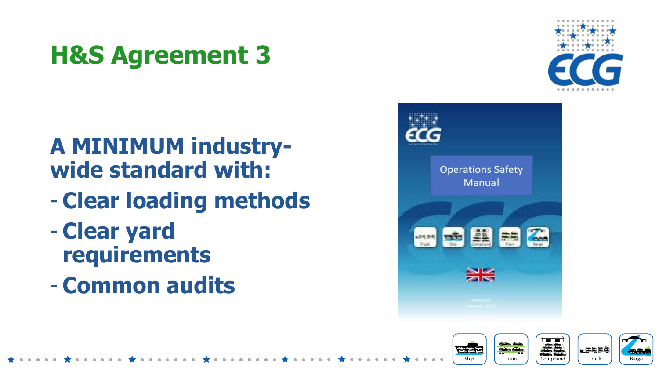### **A MINIMUM industrywide standard with:**

- **Clear loading methods**
- **Clear yard requirements**
- **Common audits**





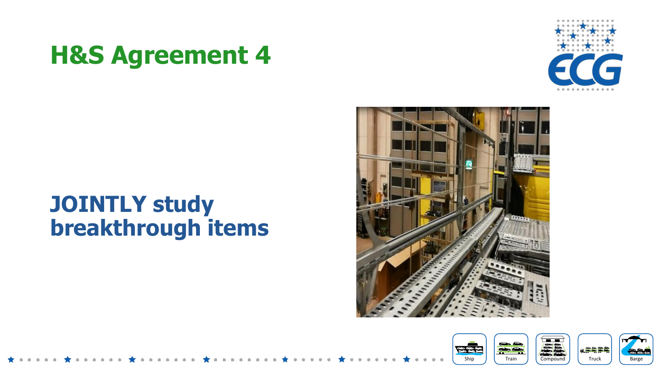#### **JOINTLY study breakthrough items**





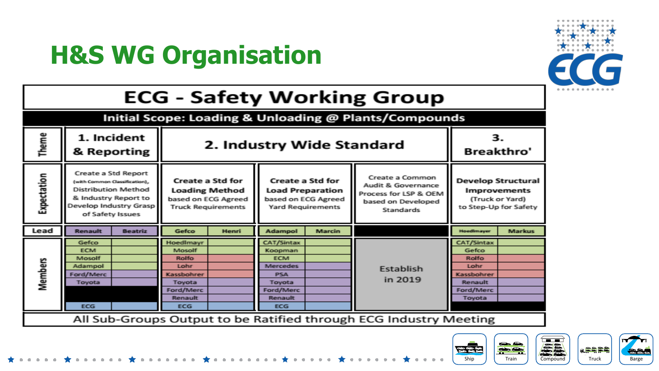### **H&S WG Organisation**



#### **ECG - Safety Working Group**

| Initial Scope: Loading & Unloading @ Plants/Compounds |                                                                                                                                                          |                |                                                                                                                                 |              |                                                                                                                              |               |                                                                                                          |                                                                                                     |               |  |  |  |  |
|-------------------------------------------------------|----------------------------------------------------------------------------------------------------------------------------------------------------------|----------------|---------------------------------------------------------------------------------------------------------------------------------|--------------|------------------------------------------------------------------------------------------------------------------------------|---------------|----------------------------------------------------------------------------------------------------------|-----------------------------------------------------------------------------------------------------|---------------|--|--|--|--|
| Theme                                                 | 1. Incident<br>2. Industry Wide Standard<br>& Reporting                                                                                                  |                |                                                                                                                                 |              |                                                                                                                              |               |                                                                                                          | 3.<br><b>Breakthro'</b>                                                                             |               |  |  |  |  |
| Expectation                                           | Create a Std Report<br>(with Common Classification),<br><b>Distribution Method</b><br>& Industry Report to<br>Develop Industry Grasp<br>of Safety Issues |                | <b>Create a Std for</b><br><b>Loading Method</b><br>based on ECG Agreed<br><b>Truck Requirements</b>                            |              | Create a Std for<br><b>Load Preparation</b><br>based on ECG Agreed<br><b>Yard Requirements</b>                               |               | Create a Common<br>Audit & Governance<br>Process for LSP & OEM<br>based on Developed<br><b>Standards</b> | <b>Develop Structural</b><br><b>Improvements</b><br>(Truck or Yard)<br>to Step-Up for Safety        |               |  |  |  |  |
| Lead                                                  | <b>Renault</b>                                                                                                                                           | <b>Beatriz</b> | Gefco                                                                                                                           | <b>Henri</b> | <b>Adampol</b>                                                                                                               | <b>Marcin</b> |                                                                                                          | Hoedlmayer                                                                                          | <b>Markus</b> |  |  |  |  |
| Members                                               | Gefco<br><b>ECM</b><br>Mosolf<br>Adampol<br>Ford/Merc<br>Toyota<br>ECG.                                                                                  |                | Hoedlmayr<br>Mosolf<br><b>Bolfo</b><br><b>Lother</b><br><b>Kassadhanihungen</b><br>Toyota<br>Ford/Merc<br>Renault<br><b>ECG</b> |              | <b>CAT/Sintax</b><br>Koopman<br><b>FCM</b><br>Mercedes.<br><b>PSA</b><br>Toyota<br>Ford/Merc<br><b>Renault</b><br><b>ECG</b> |               | Establish<br>in 2019                                                                                     | CAT/Sintax<br>Gefco<br><b>Bolfo</b><br><b>Lohr</b><br>Kasslanhoen<br>Renault<br>Ford/Merc<br>Toyota |               |  |  |  |  |
|                                                       | All Sub-Groups Output to be Ratified through ECG Industry Meeting                                                                                        |                |                                                                                                                                 |              |                                                                                                                              |               |                                                                                                          |                                                                                                     |               |  |  |  |  |

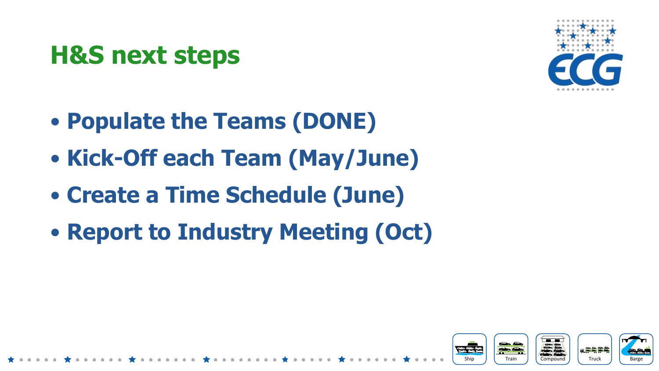### **H&S next steps**



- **Populate the Teams (DONE)**
- **Kick-Off each Team (May/June)**
- **Create a Time Schedule (June)**
- **Report to Industry Meeting (Oct)**